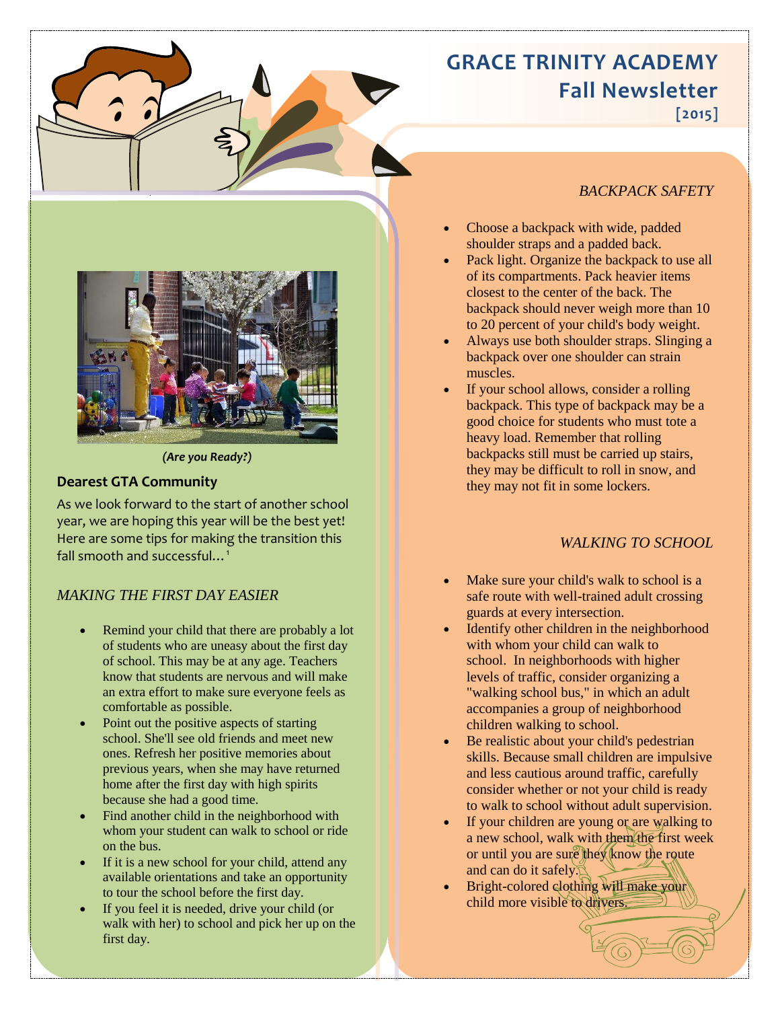# **GRACE TRINITY ACADEMY Fall Newsletter**

**[2015]**



#### *(Are you Ready?)*

#### **Dearest GTA Community**

As we look forward to the start of another school year, we are hoping this year will be the best yet! Here are some tips for making the transition this fall smooth and successful...<sup>1</sup>

### *MAKING THE FIRST DAY EASIER*

- Remind your child that there are probably a lot of students who are uneasy about the first day of school. This may be at any age. Teachers know that students are nervous and will make an extra effort to make sure everyone feels as comfortable as possible.
- Point out the positive aspects of starting school. She'll see old friends and meet new ones. Refresh her positive memories about previous years, when she may have returned home after the first day with high spirits because she had a good time.
- Find another child in the neighborhood with whom your student can walk to school or ride on the bus.
- If it is a new school for your child, attend any available orientations and take an opportunity to tour the school before the first day.
- If you feel it is needed, drive your child (or walk with her) to school and pick her up on the first day.

- See more at: https://www.aap.org/en-us/about-induceding-us/about-induceding-us/about-induceding-us/about-ind<br>- See Marine at: https://www.aap.org/en-us/about-induceding-us/about-induceding-us/about-induceding-us/about-i

#### *BACKPACK SAFETY*

- Choose a backpack with wide, padded shoulder straps and a padded back.
- Pack light. Organize the backpack to use all of its compartments. Pack heavier items closest to the center of the back. The backpack should never weigh more than 10 to 20 percent of your child's body weight.
- Always use both shoulder straps. Slinging a backpack over one shoulder can strain muscles.
- If your school allows, consider a rolling backpack. This type of backpack may be a good choice for students who must tote a heavy load. Remember that rolling backpacks still must be carried up stairs, they may be difficult to roll in snow, and they may not fit in some lockers.

### *WALKING TO SCHOOL*

- Make sure your child's walk to school is a safe route with well-trained adult crossing guards at every intersection.
- Identify other children in the neighborhood with whom your child can walk to school. In neighborhoods with higher levels of traffic, consider organizing a "walking school bus," in which an adult accompanies a group of neighborhood children walking to school.
- Be realistic about your child's pedestrian skills. Because small children are impulsive and less cautious around traffic, carefully consider whether or not your child is ready to walk to school without adult supervision.
- If your children are young or are walking to a new school, walk with them the first week or until you are sure they know the route and can do it safely.
- Bright-colored clothing will make your child more visible to drivers.